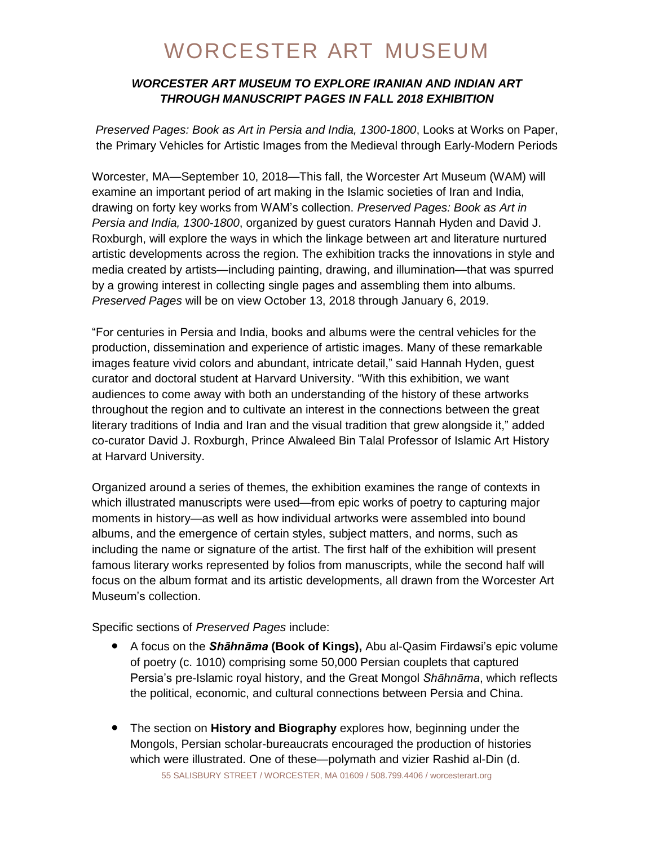### *WORCESTER ART MUSEUM TO EXPLORE IRANIAN AND INDIAN ART THROUGH MANUSCRIPT PAGES IN FALL 2018 EXHIBITION*

*Preserved Pages: Book as Art in Persia and India, 1300-1800*, Looks at Works on Paper, the Primary Vehicles for Artistic Images from the Medieval through Early-Modern Periods

Worcester, MA—September 10, 2018—This fall, the Worcester Art Museum (WAM) will examine an important period of art making in the Islamic societies of Iran and India, drawing on forty key works from WAM's collection. *Preserved Pages: Book as Art in Persia and India, 1300-1800*, organized by guest curators Hannah Hyden and David J. Roxburgh, will explore the ways in which the linkage between art and literature nurtured artistic developments across the region. The exhibition tracks the innovations in style and media created by artists—including painting, drawing, and illumination—that was spurred by a growing interest in collecting single pages and assembling them into albums. *Preserved Pages* will be on view October 13, 2018 through January 6, 2019.

"For centuries in Persia and India, books and albums were the central vehicles for the production, dissemination and experience of artistic images. Many of these remarkable images feature vivid colors and abundant, intricate detail," said Hannah Hyden, guest curator and doctoral student at Harvard University. "With this exhibition, we want audiences to come away with both an understanding of the history of these artworks throughout the region and to cultivate an interest in the connections between the great literary traditions of India and Iran and the visual tradition that grew alongside it," added co-curator David J. Roxburgh, Prince Alwaleed Bin Talal Professor of Islamic Art History at Harvard University.

Organized around a series of themes, the exhibition examines the range of contexts in which illustrated manuscripts were used—from epic works of poetry to capturing major moments in history—as well as how individual artworks were assembled into bound albums, and the emergence of certain styles, subject matters, and norms, such as including the name or signature of the artist. The first half of the exhibition will present famous literary works represented by folios from manuscripts, while the second half will focus on the album format and its artistic developments, all drawn from the Worcester Art Museum's collection.

Specific sections of *Preserved Pages* include:

- A focus on the *Shāhnāma* **(Book of Kings),** Abu al-Qasim Firdawsi's epic volume of poetry (c. 1010) comprising some 50,000 Persian couplets that captured Persia's pre-Islamic royal history, and the Great Mongol *Shāhnāma*, which reflects the political, economic, and cultural connections between Persia and China.
- 55 SALISBURY STREET / WORCESTER, MA 01609 / 508.799.4406 / worcesterart.org ● The section on **History and Biography** explores how, beginning under the Mongols, Persian scholar-bureaucrats encouraged the production of histories which were illustrated. One of these—polymath and vizier Rashid al-Din (d.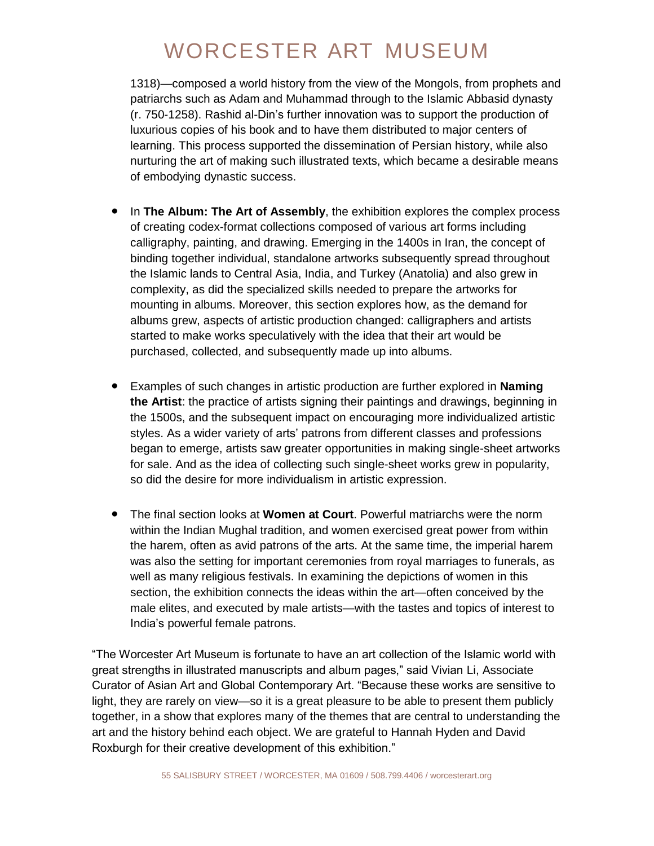1318)—composed a world history from the view of the Mongols, from prophets and patriarchs such as Adam and Muhammad through to the Islamic Abbasid dynasty (r. 750-1258). Rashid al-Din's further innovation was to support the production of luxurious copies of his book and to have them distributed to major centers of learning. This process supported the dissemination of Persian history, while also nurturing the art of making such illustrated texts, which became a desirable means of embodying dynastic success.

- In **The Album: The Art of Assembly**, the exhibition explores the complex process of creating codex-format collections composed of various art forms including calligraphy, painting, and drawing. Emerging in the 1400s in Iran, the concept of binding together individual, standalone artworks subsequently spread throughout the Islamic lands to Central Asia, India, and Turkey (Anatolia) and also grew in complexity, as did the specialized skills needed to prepare the artworks for mounting in albums. Moreover, this section explores how, as the demand for albums grew, aspects of artistic production changed: calligraphers and artists started to make works speculatively with the idea that their art would be purchased, collected, and subsequently made up into albums.
- Examples of such changes in artistic production are further explored in **Naming the Artist**: the practice of artists signing their paintings and drawings, beginning in the 1500s, and the subsequent impact on encouraging more individualized artistic styles. As a wider variety of arts' patrons from different classes and professions began to emerge, artists saw greater opportunities in making single-sheet artworks for sale. And as the idea of collecting such single-sheet works grew in popularity, so did the desire for more individualism in artistic expression.
- The final section looks at **Women at Court**. Powerful matriarchs were the norm within the Indian Mughal tradition, and women exercised great power from within the harem, often as avid patrons of the arts. At the same time, the imperial harem was also the setting for important ceremonies from royal marriages to funerals, as well as many religious festivals. In examining the depictions of women in this section, the exhibition connects the ideas within the art—often conceived by the male elites, and executed by male artists—with the tastes and topics of interest to India's powerful female patrons.

"The Worcester Art Museum is fortunate to have an art collection of the Islamic world with great strengths in illustrated manuscripts and album pages," said Vivian Li, Associate Curator of Asian Art and Global Contemporary Art. "Because these works are sensitive to light, they are rarely on view—so it is a great pleasure to be able to present them publicly together, in a show that explores many of the themes that are central to understanding the art and the history behind each object. We are grateful to Hannah Hyden and David Roxburgh for their creative development of this exhibition."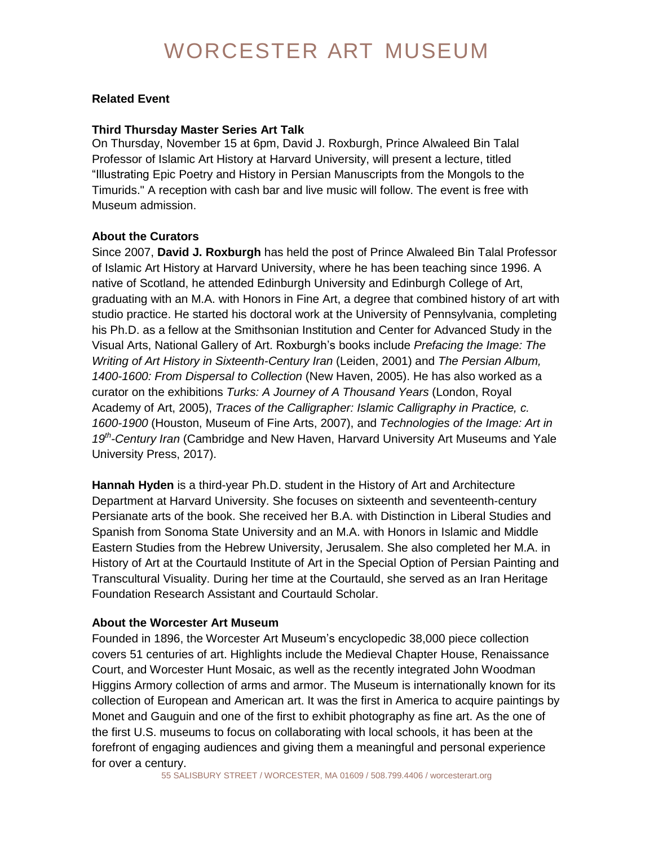#### **Related Event**

#### **Third Thursday Master Series Art Talk**

On Thursday, November 15 at 6pm, David J. Roxburgh, Prince Alwaleed Bin Talal Professor of Islamic Art History at Harvard University, will present a lecture, titled "Illustrating Epic Poetry and History in Persian Manuscripts from the Mongols to the Timurids." A reception with cash bar and live music will follow. The event is free with Museum admission.

#### **About the Curators**

Since 2007, **David J. Roxburgh** has held the post of Prince Alwaleed Bin Talal Professor of Islamic Art History at Harvard University, where he has been teaching since 1996. A native of Scotland, he attended Edinburgh University and Edinburgh College of Art, graduating with an M.A. with Honors in Fine Art, a degree that combined history of art with studio practice. He started his doctoral work at the University of Pennsylvania, completing his Ph.D. as a fellow at the Smithsonian Institution and Center for Advanced Study in the Visual Arts, National Gallery of Art. Roxburgh's books include *Prefacing the Image: The Writing of Art History in Sixteenth-Century Iran* (Leiden, 2001) and *The Persian Album, 1400-1600: From Dispersal to Collection* (New Haven, 2005). He has also worked as a curator on the exhibitions *Turks: A Journey of A Thousand Years* (London, Royal Academy of Art, 2005), *Traces of the Calligrapher: Islamic Calligraphy in Practice, c. 1600-1900* (Houston, Museum of Fine Arts, 2007), and *Technologies of the Image: Art in 19th -Century Iran* (Cambridge and New Haven, Harvard University Art Museums and Yale University Press, 2017).

**Hannah Hyden** is a third-year Ph.D. student in the History of Art and Architecture Department at Harvard University. She focuses on sixteenth and seventeenth-century Persianate arts of the book. She received her B.A. with Distinction in Liberal Studies and Spanish from Sonoma State University and an M.A. with Honors in Islamic and Middle Eastern Studies from the Hebrew University, Jerusalem. She also completed her M.A. in History of Art at the Courtauld Institute of Art in the Special Option of Persian Painting and Transcultural Visuality. During her time at the Courtauld, she served as an Iran Heritage Foundation Research Assistant and Courtauld Scholar.

#### **About the Worcester Art Museum**

Founded in 1896, the Worcester Art Museum's encyclopedic 38,000 piece collection covers 51 centuries of art. Highlights include the Medieval Chapter House, Renaissance Court, and Worcester Hunt Mosaic, as well as the recently integrated John Woodman Higgins Armory collection of arms and armor. The Museum is internationally known for its collection of European and American art. It was the first in America to acquire paintings by Monet and Gauguin and one of the first to exhibit photography as fine art. As the one of the first U.S. museums to focus on collaborating with local schools, it has been at the forefront of engaging audiences and giving them a meaningful and personal experience for over a century.